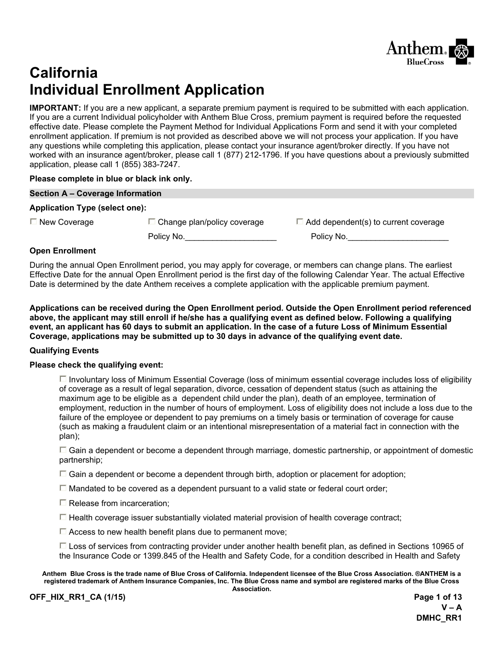

# **California Individual Enrollment Application**

**IMPORTANT:** If you are a new applicant, a separate premium payment is required to be submitted with each application. If you are a current Individual policyholder with Anthem Blue Cross, premium payment is required before the requested effective date. Please complete the Payment Method for Individual Applications Form and send it with your completed enrollment application. If premium is not provided as described above we will not process your application. If you have any questions while completing this application, please contact your insurance agent/broker directly. If you have not worked with an insurance agent/broker, please call 1 (877) 212-1796. If you have questions about a previously submitted application, please call 1 (855) 383-7247.

#### **Please complete in blue or black ink only.**

| Section A - Coverage Information      |                                    |                                             |
|---------------------------------------|------------------------------------|---------------------------------------------|
| <b>Application Type (select one):</b> |                                    |                                             |
| $\Box$ New Coverage                   | $\Box$ Change plan/policy coverage | $\Box$ Add dependent(s) to current coverage |
|                                       | Policy No.                         | Policy No.                                  |

#### **Open Enrollment**

During the annual Open Enrollment period, you may apply for coverage, or members can change plans. The earliest Effective Date for the annual Open Enrollment period is the first day of the following Calendar Year. The actual Effective Date is determined by the date Anthem receives a complete application with the applicable premium payment.

**Applications can be received during the Open Enrollment period. Outside the Open Enrollment period referenced above, the applicant may still enroll if he/she has a qualifying event as defined below. Following a qualifying event, an applicant has 60 days to submit an application. In the case of a future Loss of Minimum Essential Coverage, applications may be submitted up to 30 days in advance of the qualifying event date.** 

#### **Qualifying Events**

#### **Please check the qualifying event:**

 $\Box$  Involuntary loss of Minimum Essential Coverage (loss of minimum essential coverage includes loss of eligibility of coverage as a result of legal separation, divorce, cessation of dependent status (such as attaining the maximum age to be eligible as a dependent child under the plan), death of an employee, termination of employment, reduction in the number of hours of employment. Loss of eligibility does not include a loss due to the failure of the employee or dependent to pay premiums on a timely basis or termination of coverage for cause (such as making a fraudulent claim or an intentional misrepresentation of a material fact in connection with the plan);

 $\Box$  Gain a dependent or become a dependent through marriage, domestic partnership, or appointment of domestic partnership;

 $\Box$  Gain a dependent or become a dependent through birth, adoption or placement for adoption;

 $\Box$  Mandated to be covered as a dependent pursuant to a valid state or federal court order;

 $\square$  Release from incarceration;

 $\Box$  Health coverage issuer substantially violated material provision of health coverage contract;

 $\Box$  Access to new health benefit plans due to permanent move;

 Loss of services from contracting provider under another health benefit plan, as defined in Sections 10965 of the Insurance Code or 1399.845 of the Health and Safety Code, for a condition described in Health and Safety

**Anthem Blue Cross is the trade name of Blue Cross of California. Independent licensee of the Blue Cross Association. ®ANTHEM is a registered trademark of Anthem Insurance Companies, Inc. The Blue Cross name and symbol are registered marks of the Blue Cross Association.** 

**OFF\_HIX\_RR1\_CA (1/15) Page 1 of 13**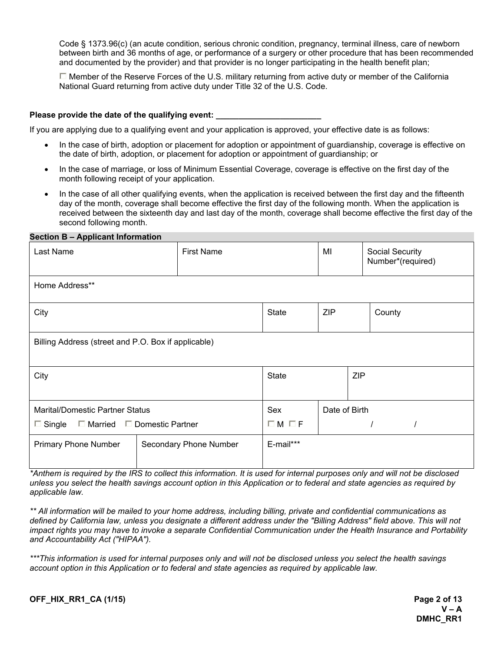Code § 1373.96(c) (an acute condition, serious chronic condition, pregnancy, terminal illness, care of newborn between birth and 36 months of age, or performance of a surgery or other procedure that has been recommended and documented by the provider) and that provider is no longer participating in the health benefit plan;

 $\Box$  Member of the Reserve Forces of the U.S. military returning from active duty or member of the California National Guard returning from active duty under Title 32 of the U.S. Code.

#### Please provide the date of the qualifying event:

If you are applying due to a qualifying event and your application is approved, your effective date is as follows:

- In the case of birth, adoption or placement for adoption or appointment of guardianship, coverage is effective on the date of birth, adoption, or placement for adoption or appointment of guardianship; or
- In the case of marriage, or loss of Minimum Essential Coverage, coverage is effective on the first day of the month following receipt of your application.
- In the case of all other qualifying events, when the application is received between the first day and the fifteenth day of the month, coverage shall become effective the first day of the following month. When the application is received between the sixteenth day and last day of the month, coverage shall become effective the first day of the second following month.

#### **Section B – Applicant Information**

| Last Name                                               | <b>First Name</b>                                   |                      | MI            | <b>Social Security</b><br>Number*(required) |  |  |  |
|---------------------------------------------------------|-----------------------------------------------------|----------------------|---------------|---------------------------------------------|--|--|--|
| Home Address**                                          |                                                     |                      |               |                                             |  |  |  |
| City                                                    | <b>State</b>                                        | <b>ZIP</b><br>County |               |                                             |  |  |  |
|                                                         | Billing Address (street and P.O. Box if applicable) |                      |               |                                             |  |  |  |
| City                                                    |                                                     | <b>State</b>         |               | <b>ZIP</b>                                  |  |  |  |
| <b>Marital/Domestic Partner Status</b>                  | Sex                                                 |                      | Date of Birth |                                             |  |  |  |
| $\Box$ Married $\Box$ Domestic Partner<br>$\Box$ Single | $\Box M \Box F$                                     |                      |               |                                             |  |  |  |
| <b>Primary Phone Number</b>                             | Secondary Phone Number                              | E-mail***            |               |                                             |  |  |  |

*\*Anthem is required by the IRS to collect this information. It is used for internal purposes only and will not be disclosed unless you select the health savings account option in this Application or to federal and state agencies as required by applicable law.* 

*\*\* All information will be mailed to your home address, including billing, private and confidential communications as*  defined by California law, unless you designate a different address under the "Billing Address" field above. This will not *impact rights you may have to invoke a separate Confidential Communication under the Health Insurance and Portability and Accountability Act ("HIPAA").* 

*\*\*\*This information is used for internal purposes only and will not be disclosed unless you select the health savings account option in this Application or to federal and state agencies as required by applicable law.* 

**OFF\_HIX\_RR1\_CA (1/15)** Page 2 of 13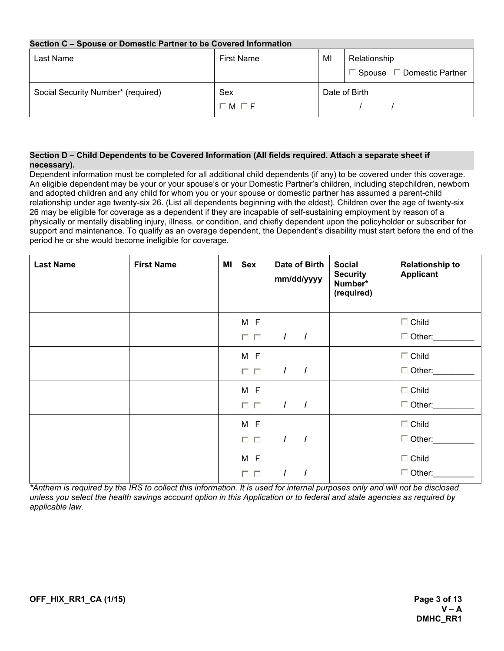#### **Section C – Spouse or Domestic Partner to be Covered Information**

| Last Name                          | <b>First Name</b>              | MI | Relationship<br>$\Box$ Spouse $\Box$ Domestic Partner |
|------------------------------------|--------------------------------|----|-------------------------------------------------------|
| Social Security Number* (required) | Sex<br>$\square$ M $\square$ F |    | Date of Birth                                         |

#### **Section D – Child Dependents to be Covered Information (All fields required. Attach a separate sheet if necessary).**

Dependent information must be completed for all additional child dependents (if any) to be covered under this coverage. An eligible dependent may be your or your spouse's or your Domestic Partner's children, including stepchildren, newborn and adopted children and any child for whom you or your spouse or domestic partner has assumed a parent-child relationship under age twenty-six 26. (List all dependents beginning with the eldest). Children over the age of twenty-six 26 may be eligible for coverage as a dependent if they are incapable of self-sustaining employment by reason of a physically or mentally disabling injury, illness, or condition, and chiefly dependent upon the policyholder or subscriber for support and maintenance. To qualify as an overage dependent, the Dependent's disability must start before the end of the period he or she would become ineligible for coverage.

| <b>Last Name</b> | <b>First Name</b> | MI | <b>Sex</b>           | Date of Birth<br>mm/dd/yyyy | <b>Social</b><br><b>Security</b><br>Number*<br>(required) | <b>Relationship to</b><br><b>Applicant</b> |
|------------------|-------------------|----|----------------------|-----------------------------|-----------------------------------------------------------|--------------------------------------------|
|                  |                   |    | M F<br>$\Box$ $\Box$ | $\prime$<br>$\overline{1}$  |                                                           | $\Box$ Child<br>$\Box$ Other:              |
|                  |                   |    | M F<br>$\Box$ $\Box$ | $\prime$<br>$\overline{1}$  |                                                           | $\Box$ Child<br>$\Box$ Other:              |
|                  |                   |    | M F<br>$\Box$ $\Box$ | $\prime$<br>$\overline{1}$  |                                                           | $\Box$ Child<br>$\Box$ Other:              |
|                  |                   |    | M F<br>$\Box$ $\Box$ | $\prime$<br>$\overline{1}$  |                                                           | $\Box$ Child<br>$\Box$ Other:              |
|                  |                   |    | M F<br>口口            | $\prime$<br>$\prime$        |                                                           | $\Box$ Child<br>$\Box$ Other:              |

*\*Anthem is required by the IRS to collect this information. It is used for internal purposes only and will not be disclosed unless you select the health savings account option in this Application or to federal and state agencies as required by applicable law.*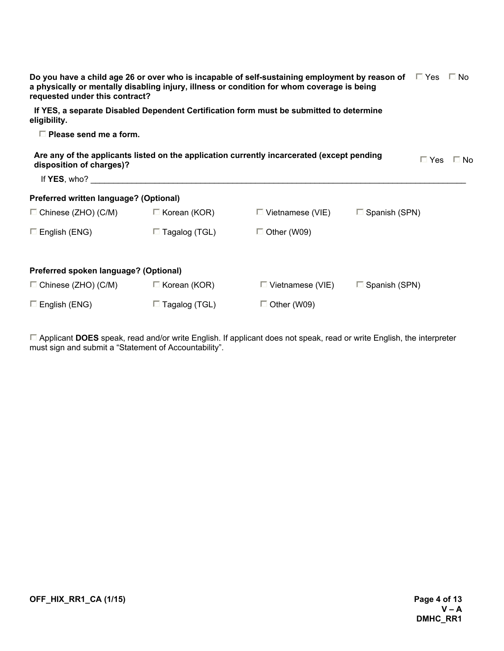| Do you have a child age 26 or over who is incapable of self-sustaining employment by reason of $\square$ Yes $\square$ No<br>a physically or mentally disabling injury, illness or condition for whom coverage is being<br>requested under this contract? |                      |                                                                                            |                         |            |      |
|-----------------------------------------------------------------------------------------------------------------------------------------------------------------------------------------------------------------------------------------------------------|----------------------|--------------------------------------------------------------------------------------------|-------------------------|------------|------|
| eligibility.                                                                                                                                                                                                                                              |                      | If YES, a separate Disabled Dependent Certification form must be submitted to determine    |                         |            |      |
| $\Box$ Please send me a form.                                                                                                                                                                                                                             |                      |                                                                                            |                         |            |      |
| disposition of charges)?                                                                                                                                                                                                                                  |                      | Are any of the applicants listed on the application currently incarcerated (except pending |                         | $\Box$ Yes | ⊟ No |
| If $YES$ , who?                                                                                                                                                                                                                                           |                      |                                                                                            |                         |            |      |
| Preferred written language? (Optional)                                                                                                                                                                                                                    |                      |                                                                                            |                         |            |      |
| $\Box$ Chinese (ZHO) (C/M)                                                                                                                                                                                                                                | $\Box$ Korean (KOR)  | $\Box$ Vietnamese (VIE)                                                                    | $\Box$ Spanish (SPN)    |            |      |
| $\square$ English (ENG)                                                                                                                                                                                                                                   | $\Box$ Tagalog (TGL) | $\Box$ Other (W09)                                                                         |                         |            |      |
| Preferred spoken language? (Optional)                                                                                                                                                                                                                     |                      |                                                                                            |                         |            |      |
| $\Box$ Chinese (ZHO) (C/M)                                                                                                                                                                                                                                | $\Box$ Korean (KOR)  | $\square$ Vietnamese (VIE)                                                                 | $\square$ Spanish (SPN) |            |      |
| $\Box$ English (ENG)                                                                                                                                                                                                                                      | $\Box$ Tagalog (TGL) | $\Box$ Other (W09)                                                                         |                         |            |      |

Applicant **DOES** speak, read and/or write English. If applicant does not speak, read or write English, the interpreter must sign and submit a "Statement of Accountability".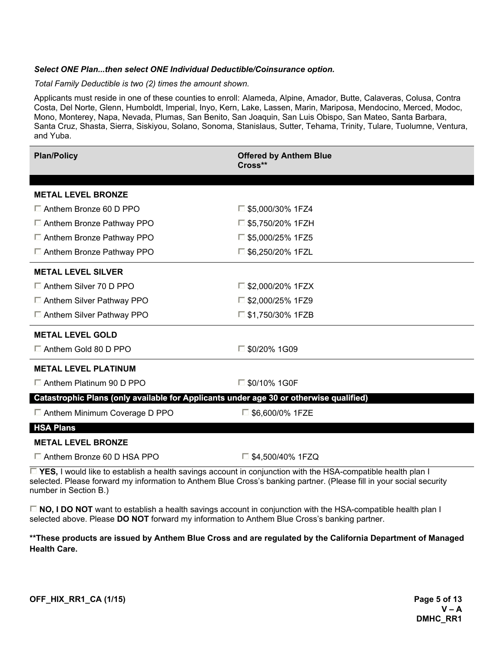#### *Select ONE Plan...then select ONE Individual Deductible/Coinsurance option.*

*Total Family Deductible is two (2) times the amount shown.* 

Applicants must reside in one of these counties to enroll: Alameda, Alpine, Amador, Butte, Calaveras, Colusa, Contra Costa, Del Norte, Glenn, Humboldt, Imperial, Inyo, Kern, Lake, Lassen, Marin, Mariposa, Mendocino, Merced, Modoc, Mono, Monterey, Napa, Nevada, Plumas, San Benito, San Joaquin, San Luis Obispo, San Mateo, Santa Barbara, Santa Cruz, Shasta, Sierra, Siskiyou, Solano, Sonoma, Stanislaus, Sutter, Tehama, Trinity, Tulare, Tuolumne, Ventura, and Yuba.

| <b>Plan/Policy</b>                                                                     | <b>Offered by Anthem Blue</b><br>$Cross^{**}$ |
|----------------------------------------------------------------------------------------|-----------------------------------------------|
|                                                                                        |                                               |
| <b>METAL LEVEL BRONZE</b>                                                              |                                               |
| $\Box$ Anthem Bronze 60 D PPO                                                          | $\Box$ \$5,000/30% 1FZ4                       |
| $\Box$ Anthem Bronze Pathway PPO                                                       | $\Box$ \$5,750/20% 1FZH                       |
| $\Box$ Anthem Bronze Pathway PPO                                                       | $\square$ \$5,000/25% 1FZ5                    |
| $\Box$ Anthem Bronze Pathway PPO                                                       | $\Box$ \$6,250/20% 1FZL                       |
| <b>METAL LEVEL SILVER</b>                                                              |                                               |
| $\Box$ Anthem Silver 70 D PPO                                                          | $\Box$ \$2,000/20% 1FZX                       |
| $\Box$ Anthem Silver Pathway PPO                                                       | $\square$ \$2,000/25% 1FZ9                    |
| $\Box$ Anthem Silver Pathway PPO                                                       | $\Box$ \$1,750/30% 1FZB                       |
| <b>METAL LEVEL GOLD</b>                                                                |                                               |
| $\Box$ Anthem Gold 80 D PPO                                                            | $\square$ \$0/20% 1G09                        |
| <b>METAL LEVEL PLATINUM</b>                                                            |                                               |
| $\Box$ Anthem Platinum 90 D PPO                                                        | □ \$0/10% 1G0F                                |
| Catastrophic Plans (only available for Applicants under age 30 or otherwise qualified) |                                               |
| $\Box$ Anthem Minimum Coverage D PPO                                                   | $\Box$ \$6,600/0% 1FZE                        |
| <b>HSA Plans</b>                                                                       |                                               |
| <b>METAL LEVEL BRONZE</b>                                                              |                                               |
| $\Box$ Anthem Bronze 60 D HSA PPO                                                      | $\Box$ \$4,500/40% 1FZQ                       |

**YES,** I would like to establish a health savings account in conjunction with the HSA-compatible health plan I selected. Please forward my information to Anthem Blue Cross's banking partner. (Please fill in your social security number in Section B.)

**NO, I DO NOT** want to establish a health savings account in conjunction with the HSA-compatible health plan I selected above. Please **DO NOT** forward my information to Anthem Blue Cross's banking partner.

**\*\*These products are issued by Anthem Blue Cross and are regulated by the California Department of Managed Health Care.**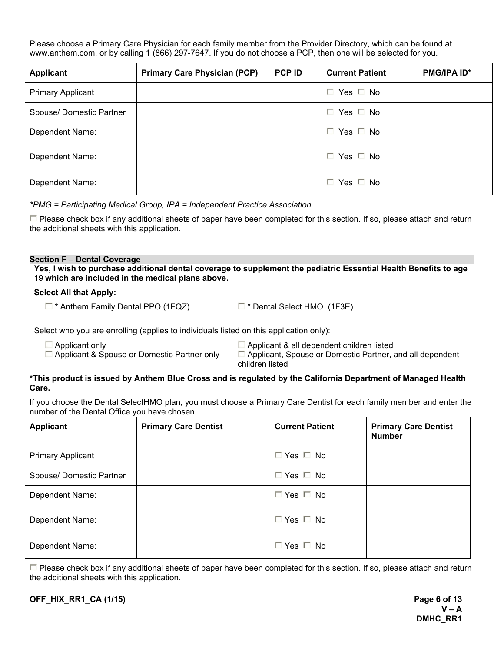Please choose a Primary Care Physician for each family member from the Provider Directory, which can be found at www.anthem.com, or by calling 1 (866) 297-7647. If you do not choose a PCP, then one will be selected for you.

| <b>Applicant</b>         | <b>Primary Care Physician (PCP)</b> | <b>PCP ID</b> | <b>Current Patient</b> | <b>PMG/IPA ID*</b> |
|--------------------------|-------------------------------------|---------------|------------------------|--------------------|
| <b>Primary Applicant</b> |                                     |               | $\Box$ Yes $\Box$ No   |                    |
| Spouse/Domestic Partner  |                                     |               | $\Box$ Yes $\Box$ No   |                    |
| Dependent Name:          |                                     |               | $\Box$ Yes $\Box$ No   |                    |
| Dependent Name:          |                                     |               | $\Box$ Yes $\Box$ No   |                    |
| Dependent Name:          |                                     |               | Yes $\Box$ No<br>I.    |                    |

*\*PMG = Participating Medical Group, IPA = Independent Practice Association*

 $\Box$  Please check box if any additional sheets of paper have been completed for this section. If so, please attach and return the additional sheets with this application.

#### **Section F – Dental Coverage**

**Yes, I wish to purchase additional dental coverage to supplement the pediatric Essential Health Benefits to age**  19 **which are included in the medical plans above.** 

#### **Select All that Apply:**

 $\Box$  \* Anthem Family Dental PPO (1FQZ)  $\Box$  \* Dental Select HMO (1F3E)

Select who you are enrolling (applies to individuals listed on this application only):

 $\square$  Applicant only  $\square$  Applicant & all dependent children listed  $\square$  Applicant & all dependent children listed  $\square$  Applicant, Spouse or Domestic Partner, and D

 $\Box$  Applicant, Spouse or Domestic Partner, and all dependent children listed

#### **\*This product is issued by Anthem Blue Cross and is regulated by the California Department of Managed Health Care.**

If you choose the Dental SelectHMO plan, you must choose a Primary Care Dentist for each family member and enter the number of the Dental Office you have chosen.

| <b>Applicant</b>         | <b>Primary Care Dentist</b> | <b>Current Patient</b> | <b>Primary Care Dentist</b><br><b>Number</b> |
|--------------------------|-----------------------------|------------------------|----------------------------------------------|
| <b>Primary Applicant</b> |                             | $\Box$ Yes $\Box$ No   |                                              |
| Spouse/Domestic Partner  |                             | $\Box$ Yes $\Box$ No   |                                              |
| Dependent Name:          |                             | $\Box$ Yes $\Box$ No   |                                              |
| Dependent Name:          |                             | $\Box$ Yes $\Box$ No   |                                              |
| Dependent Name:          |                             | $\Box$ Yes $\Box$ No   |                                              |

 $\Box$  Please check box if any additional sheets of paper have been completed for this section. If so, please attach and return the additional sheets with this application.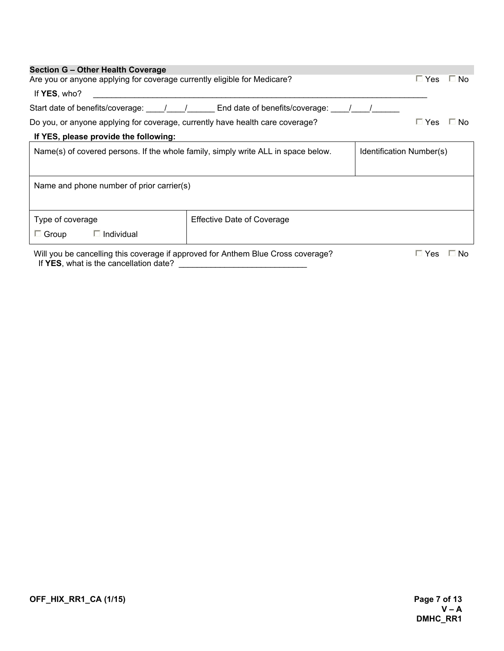| <b>Section G - Other Health Coverage</b><br>Are you or anyone applying for coverage currently eligible for Medicare?       |                                                                           | $\Box$ Yes<br>⊟ No      |  |  |
|----------------------------------------------------------------------------------------------------------------------------|---------------------------------------------------------------------------|-------------------------|--|--|
| If YES, who?                                                                                                               |                                                                           |                         |  |  |
|                                                                                                                            | Start date of benefits/coverage: 1 1 1 End date of benefits/coverage: 1 1 |                         |  |  |
| Do you, or anyone applying for coverage, currently have health care coverage?                                              |                                                                           | $\Box$ Yes<br>$\Box$ No |  |  |
| If YES, please provide the following:                                                                                      |                                                                           |                         |  |  |
| Name(s) of covered persons. If the whole family, simply write ALL in space below.<br>Identification Number(s)              |                                                                           |                         |  |  |
| Name and phone number of prior carrier(s)                                                                                  |                                                                           |                         |  |  |
| Type of coverage<br>$\Box$ Group<br>$\Box$ Individual                                                                      | <b>Effective Date of Coverage</b>                                         |                         |  |  |
| Will you be cancelling this coverage if approved for Anthem Blue Cross coverage?<br>If YES, what is the cancellation date? |                                                                           | $\Box$ Yes<br>$\Box$ No |  |  |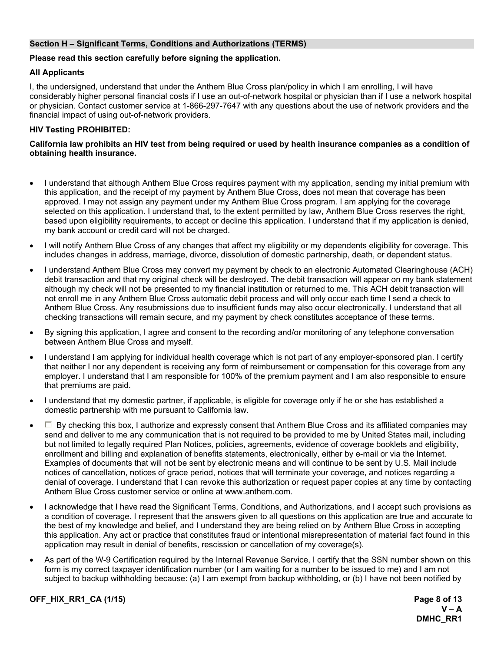#### **Section H – Significant Terms, Conditions and Authorizations (TERMS)**

#### **Please read this section carefully before signing the application.**

#### **All Applicants**

I, the undersigned, understand that under the Anthem Blue Cross plan/policy in which I am enrolling, I will have considerably higher personal financial costs if I use an out-of-network hospital or physician than if I use a network hospital or physician. Contact customer service at 1-866-297-7647 with any questions about the use of network providers and the financial impact of using out-of-network providers.

#### **HIV Testing PROHIBITED:**

#### **California law prohibits an HIV test from being required or used by health insurance companies as a condition of obtaining health insurance.**

- I understand that although Anthem Blue Cross requires payment with my application, sending my initial premium with this application, and the receipt of my payment by Anthem Blue Cross, does not mean that coverage has been approved. I may not assign any payment under my Anthem Blue Cross program. I am applying for the coverage selected on this application. I understand that, to the extent permitted by law, Anthem Blue Cross reserves the right, based upon eligibility requirements, to accept or decline this application. I understand that if my application is denied, my bank account or credit card will not be charged.
- I will notify Anthem Blue Cross of any changes that affect my eligibility or my dependents eligibility for coverage. This includes changes in address, marriage, divorce, dissolution of domestic partnership, death, or dependent status.
- I understand Anthem Blue Cross may convert my payment by check to an electronic Automated Clearinghouse (ACH) debit transaction and that my original check will be destroyed. The debit transaction will appear on my bank statement although my check will not be presented to my financial institution or returned to me. This ACH debit transaction will not enroll me in any Anthem Blue Cross automatic debit process and will only occur each time I send a check to Anthem Blue Cross. Any resubmissions due to insufficient funds may also occur electronically. I understand that all checking transactions will remain secure, and my payment by check constitutes acceptance of these terms.
- By signing this application, I agree and consent to the recording and/or monitoring of any telephone conversation between Anthem Blue Cross and myself.
- I understand I am applying for individual health coverage which is not part of any employer-sponsored plan. I certify that neither I nor any dependent is receiving any form of reimbursement or compensation for this coverage from any employer. I understand that I am responsible for 100% of the premium payment and I am also responsible to ensure that premiums are paid.
- I understand that my domestic partner, if applicable, is eligible for coverage only if he or she has established a domestic partnership with me pursuant to California law.
- $\Box$  By checking this box, I authorize and expressly consent that Anthem Blue Cross and its affiliated companies may send and deliver to me any communication that is not required to be provided to me by United States mail, including but not limited to legally required Plan Notices, policies, agreements, evidence of coverage booklets and eligibility, enrollment and billing and explanation of benefits statements, electronically, either by e-mail or via the Internet. Examples of documents that will not be sent by electronic means and will continue to be sent by U.S. Mail include notices of cancellation, notices of grace period, notices that will terminate your coverage, and notices regarding a denial of coverage. I understand that I can revoke this authorization or request paper copies at any time by contacting Anthem Blue Cross customer service or online at www.anthem.com.
- I acknowledge that I have read the Significant Terms, Conditions, and Authorizations, and I accept such provisions as a condition of coverage. I represent that the answers given to all questions on this application are true and accurate to the best of my knowledge and belief, and I understand they are being relied on by Anthem Blue Cross in accepting this application. Any act or practice that constitutes fraud or intentional misrepresentation of material fact found in this application may result in denial of benefits, rescission or cancellation of my coverage(s).
- As part of the W-9 Certification required by the Internal Revenue Service, I certify that the SSN number shown on this form is my correct taxpayer identification number (or I am waiting for a number to be issued to me) and I am not subject to backup withholding because: (a) I am exempt from backup withholding, or (b) I have not been notified by

**OFF\_HIX\_RR1\_CA (1/15) Page 8 of 13**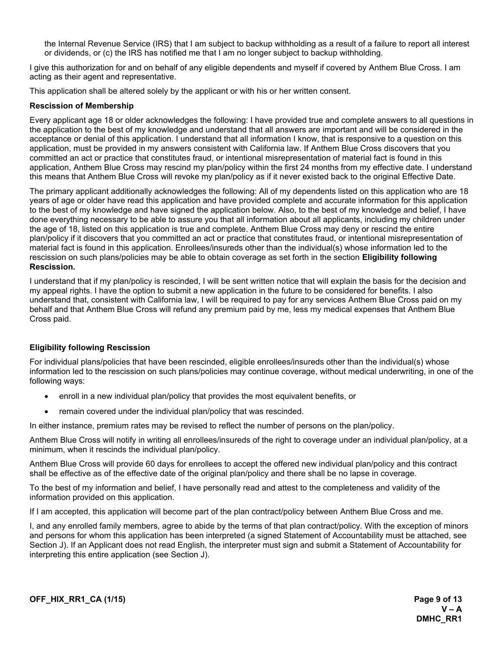the Internal Revenue Service (IRS) that I am subject to backup withholding as a result of a failure to report all interest or dividends, or (c) the IRS has notified me that I am no longer subject to backup withholding.

I give this authorization for and on behalf of any eligible dependents and myself if covered by Anthem Blue Cross. I am acting as their agent and representative.

This application shall be altered solely by the applicant or with his or her written consent.

#### **Rescission of Membership**

Every applicant age 18 or older acknowledges the following: I have provided true and complete answers to all questions in the application to the best of my knowledge and understand that all answers are important and will be considered in the acceptance or denial of this application. I understand that all information I know, that is responsive to a question on this application, must be provided in my answers consistent with California law. If Anthem Blue Cross discovers that you committed an act or practice that constitutes fraud, or intentional misrepresentation of material fact is found in this application, Anthem Blue Cross may rescind my plan/policy within the first 24 months from my effective date. I understand this means that Anthem Blue Cross will revoke my plan/policy as if it never existed back to the original Effective Date.

The primary applicant additionally acknowledges the following: All of my dependents listed on this application who are 18 years of age or older have read this application and have provided complete and accurate information for this application to the best of my knowledge and have signed the application below. Also, to the best of my knowledge and belief, I have done everything necessary to be able to assure you that all information about all applicants, including my children under the age of 18, listed on this application is true and complete. Anthem Blue Cross may deny or rescind the entire plan/policy if it discovers that you committed an act or practice that constitutes fraud, or intentional misrepresentation of material fact is found in this application. Enrollees/insureds other than the individual(s) whose information led to the rescission on such plans/policies may be able to obtain coverage as set forth in the section **Eligibility following Rescission.** 

I understand that if my plan/policy is rescinded, I will be sent written notice that will explain the basis for the decision and my appeal rights. I have the option to submit a new application in the future to be considered for benefits. I also understand that, consistent with California law, I will be required to pay for any services Anthem Blue Cross paid on my behalf and that Anthem Blue Cross will refund any premium paid by me, less my medical expenses that Anthem Blue Cross paid.

#### **Eligibility following Rescission**

For individual plans/policies that have been rescinded, eligible enrollees/insureds other than the individual(s) whose information led to the rescission on such plans/policies may continue coverage, without medical underwriting, in one of the following ways:

- · enroll in a new individual plan/policy that provides the most equivalent benefits, or
- remain covered under the individual plan/policy that was rescinded.

In either instance, premium rates may be revised to reflect the number of persons on the plan/policy.

Anthem Blue Cross will notify in writing all enrollees/insureds of the right to coverage under an individual plan/policy, at a minimum, when it rescinds the individual plan/policy.

Anthem Blue Cross will provide 60 days for enrollees to accept the offered new individual plan/policy and this contract shall be effective as of the effective date of the original plan/policy and there shall be no lapse in coverage.

To the best of my information and belief, I have personally read and attest to the completeness and validity of the information provided on this application.

If I am accepted, this application will become part of the plan contract/policy between Anthem Blue Cross and me.

I, and any enrolled family members, agree to abide by the terms of that plan contract/policy. With the exception of minors and persons for whom this application has been interpreted (a signed Statement of Accountability must be attached, see Section J). If an Applicant does not read English, the interpreter must sign and submit a Statement of Accountability for interpreting this entire application (see Section J).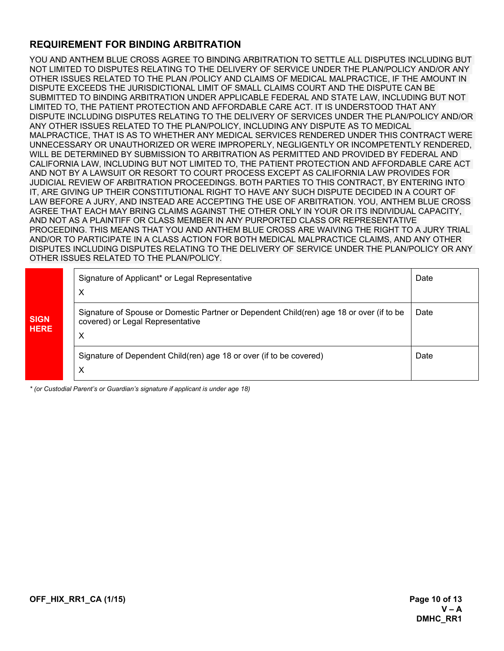### **REQUIREMENT FOR BINDING ARBITRATION**

YOU AND ANTHEM BLUE CROSS AGREE TO BINDING ARBITRATION TO SETTLE ALL DISPUTES INCLUDING BUT NOT LIMITED TO DISPUTES RELATING TO THE DELIVERY OF SERVICE UNDER THE PLAN/POLICY AND/OR ANY OTHER ISSUES RELATED TO THE PLAN /POLICY AND CLAIMS OF MEDICAL MALPRACTICE, IF THE AMOUNT IN DISPUTE EXCEEDS THE JURISDICTIONAL LIMIT OF SMALL CLAIMS COURT AND THE DISPUTE CAN BE SUBMITTED TO BINDING ARBITRATION UNDER APPLICABLE FEDERAL AND STATE LAW, INCLUDING BUT NOT LIMITED TO, THE PATIENT PROTECTION AND AFFORDABLE CARE ACT. IT IS UNDERSTOOD THAT ANY DISPUTE INCLUDING DISPUTES RELATING TO THE DELIVERY OF SERVICES UNDER THE PLAN/POLICY AND/OR ANY OTHER ISSUES RELATED TO THE PLAN/POLICY, INCLUDING ANY DISPUTE AS TO MEDICAL MALPRACTICE, THAT IS AS TO WHETHER ANY MEDICAL SERVICES RENDERED UNDER THIS CONTRACT WERE UNNECESSARY OR UNAUTHORIZED OR WERE IMPROPERLY, NEGLIGENTLY OR INCOMPETENTLY RENDERED, WILL BE DETERMINED BY SUBMISSION TO ARBITRATION AS PERMITTED AND PROVIDED BY FEDERAL AND CALIFORNIA LAW, INCLUDING BUT NOT LIMITED TO, THE PATIENT PROTECTION AND AFFORDABLE CARE ACT AND NOT BY A LAWSUIT OR RESORT TO COURT PROCESS EXCEPT AS CALIFORNIA LAW PROVIDES FOR JUDICIAL REVIEW OF ARBITRATION PROCEEDINGS. BOTH PARTIES TO THIS CONTRACT, BY ENTERING INTO IT, ARE GIVING UP THEIR CONSTITUTIONAL RIGHT TO HAVE ANY SUCH DISPUTE DECIDED IN A COURT OF LAW BEFORE A JURY, AND INSTEAD ARE ACCEPTING THE USE OF ARBITRATION. YOU, ANTHEM BLUE CROSS AGREE THAT EACH MAY BRING CLAIMS AGAINST THE OTHER ONLY IN YOUR OR ITS INDIVIDUAL CAPACITY, AND NOT AS A PLAINTIFF OR CLASS MEMBER IN ANY PURPORTED CLASS OR REPRESENTATIVE PROCEEDING. THIS MEANS THAT YOU AND ANTHEM BLUE CROSS ARE WAIVING THE RIGHT TO A JURY TRIAL AND/OR TO PARTICIPATE IN A CLASS ACTION FOR BOTH MEDICAL MALPRACTICE CLAIMS, AND ANY OTHER DISPUTES INCLUDING DISPUTES RELATING TO THE DELIVERY OF SERVICE UNDER THE PLAN/POLICY OR ANY OTHER ISSUES RELATED TO THE PLAN/POLICY.

|                            | Signature of Applicant* or Legal Representative<br>$\times$                                                                       | Date |
|----------------------------|-----------------------------------------------------------------------------------------------------------------------------------|------|
| <b>SIGN</b><br><b>HERE</b> | Signature of Spouse or Domestic Partner or Dependent Child(ren) age 18 or over (if to be<br>covered) or Legal Representative<br>Х | Date |
|                            | Signature of Dependent Child(ren) age 18 or over (if to be covered)<br>$\times$                                                   | Date |

*\* (or Custodial Parent's or Guardian's signature if applicant is under age 18)*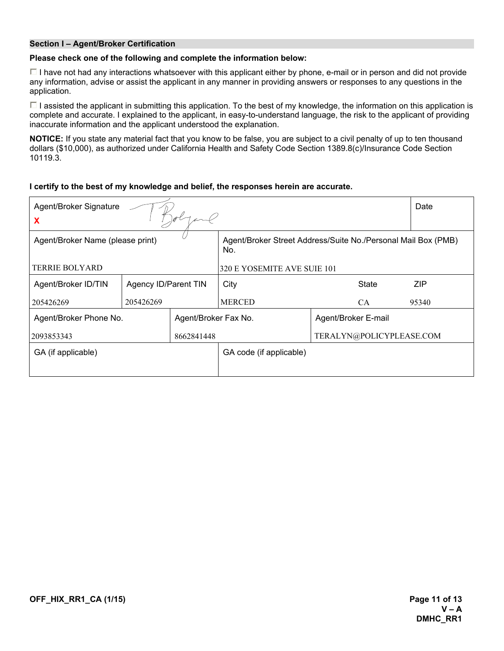#### **Section I – Agent/Broker Certification**

#### **Please check one of the following and complete the information below:**

 $\Box$  I have not had any interactions whatsoever with this applicant either by phone, e-mail or in person and did not provide any information, advise or assist the applicant in any manner in providing answers or responses to any questions in the application.

 $\Box$  I assisted the applicant in submitting this application. To the best of my knowledge, the information on this application is complete and accurate. I explained to the applicant, in easy-to-understand language, the risk to the applicant of providing inaccurate information and the applicant understood the explanation.

**NOTICE:** If you state any material fact that you know to be false, you are subject to a civil penalty of up to ten thousand dollars (\$10,000), as authorized under California Health and Safety Code Section 1389.8(c)/Insurance Code Section 10119.3.

#### **I certify to the best of my knowledge and belief, the responses herein are accurate.**

| Agent/Broker Signature                        |                      |                         |                                                                      |                     | Date       |
|-----------------------------------------------|----------------------|-------------------------|----------------------------------------------------------------------|---------------------|------------|
| X                                             |                      |                         |                                                                      |                     |            |
| Agent/Broker Name (please print)              |                      |                         | Agent/Broker Street Address/Suite No./Personal Mail Box (PMB)<br>No. |                     |            |
| TERRIE BOLYARD<br>320 E YOSEMITE AVE SUIE 101 |                      |                         |                                                                      |                     |            |
| Agent/Broker ID/TIN                           | Agency ID/Parent TIN |                         | City                                                                 | State               | <b>ZIP</b> |
| 205426269                                     | 205426269            |                         | <b>MERCED</b>                                                        | CA.                 | 95340      |
| Agent/Broker Phone No.                        |                      | Agent/Broker Fax No.    |                                                                      | Agent/Broker E-mail |            |
| 8662841448<br>2093853343                      |                      |                         | TERALYN@POLICYPLEASE.COM                                             |                     |            |
| GA (if applicable)                            |                      | GA code (if applicable) |                                                                      |                     |            |
|                                               |                      |                         |                                                                      |                     |            |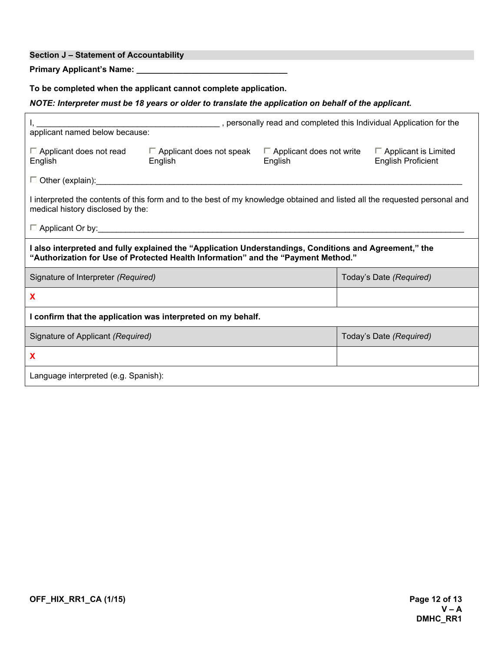#### **Section J – Statement of Accountability**

**Primary Applicant's Name:** 

**To be completed when the applicant cannot complete application.**

*NOTE: Interpreter must be 18 years or older to translate the application on behalf of the applicant.* 

| personally read and completed this Individual Application for the                                                                                                                           |                                            |         |                                                                                                                            |  |  |  |  |
|---------------------------------------------------------------------------------------------------------------------------------------------------------------------------------------------|--------------------------------------------|---------|----------------------------------------------------------------------------------------------------------------------------|--|--|--|--|
| $\Box$ Applicant does not read<br>English                                                                                                                                                   | $\Box$ Applicant does not speak<br>English | English | $\Box$ Applicant does not write $\Box$ Applicant is Limited<br><b>English Proficient</b>                                   |  |  |  |  |
| $\Box$ Other (explain): $\Box$                                                                                                                                                              |                                            |         |                                                                                                                            |  |  |  |  |
| medical history disclosed by the:                                                                                                                                                           |                                            |         | I interpreted the contents of this form and to the best of my knowledge obtained and listed all the requested personal and |  |  |  |  |
| $\Box$ Applicant Or by:                                                                                                                                                                     |                                            |         |                                                                                                                            |  |  |  |  |
| I also interpreted and fully explained the "Application Understandings, Conditions and Agreement," the<br>"Authorization for Use of Protected Health Information" and the "Payment Method." |                                            |         |                                                                                                                            |  |  |  |  |
| Signature of Interpreter (Required)<br>Today's Date (Required)                                                                                                                              |                                            |         |                                                                                                                            |  |  |  |  |
| X                                                                                                                                                                                           |                                            |         |                                                                                                                            |  |  |  |  |
| I confirm that the application was interpreted on my behalf.                                                                                                                                |                                            |         |                                                                                                                            |  |  |  |  |
| Signature of Applicant (Required)                                                                                                                                                           |                                            |         | Today's Date (Required)                                                                                                    |  |  |  |  |
| X                                                                                                                                                                                           |                                            |         |                                                                                                                            |  |  |  |  |
| Language interpreted (e.g. Spanish):                                                                                                                                                        |                                            |         |                                                                                                                            |  |  |  |  |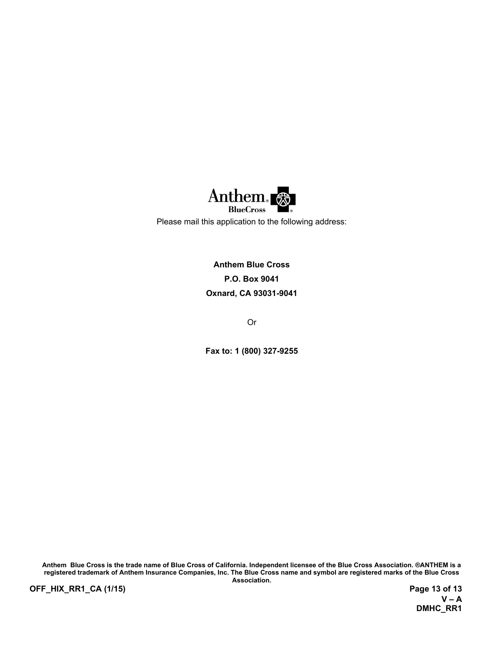

Please mail this application to the following address:

**Anthem Blue Cross P.O. Box 9041 Oxnard, CA 93031-9041**

Or

**Fax to: 1 (800) 327-9255** 

**Anthem Blue Cross is the trade name of Blue Cross of California. Independent licensee of the Blue Cross Association. ®ANTHEM is a registered trademark of Anthem Insurance Companies, Inc. The Blue Cross name and symbol are registered marks of the Blue Cross** 

**OFF\_HIX\_RR1\_CA (1/15) Page 13 of 13**